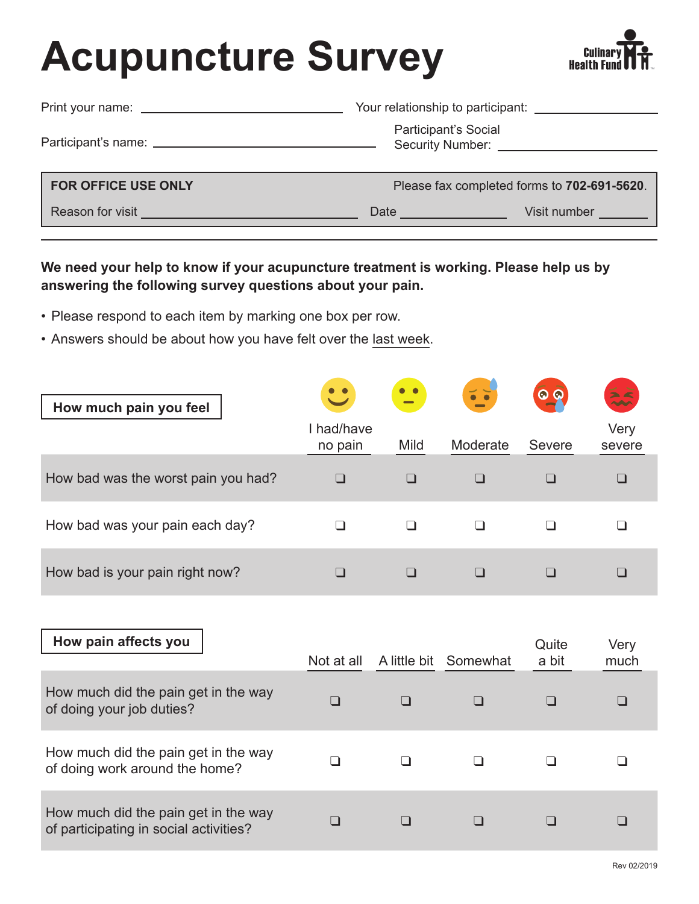## **Acupuncture Survey**



| Print your name: ________________________ |                                                 | Your relationship to participant:           |  |  |  |  |  |
|-------------------------------------------|-------------------------------------------------|---------------------------------------------|--|--|--|--|--|
|                                           | Participant's Social<br><b>Security Number:</b> |                                             |  |  |  |  |  |
| <b>FOR OFFICE USE ONLY</b>                |                                                 | Please fax completed forms to 702-691-5620. |  |  |  |  |  |
| Reason for visit                          | Date                                            | Visit number                                |  |  |  |  |  |

**We need your help to know if your acupuncture treatment is working. Please help us by answering the following survey questions about your pain.**

- Please respond to each item by marking one box per row.
- Answers should be about how you have felt over the last week.

| How much pain you feel              |                       | $\equiv$ |          |        | $\frac{1}{2}$  |
|-------------------------------------|-----------------------|----------|----------|--------|----------------|
|                                     | I had/have<br>no pain | Mild     | Moderate | Severe | Very<br>severe |
| How bad was the worst pain you had? |                       |          |          |        |                |
| How bad was your pain each day?     |                       |          |          |        |                |
| How bad is your pain right now?     |                       |          |          |        |                |

| How pain affects you                                                           |            |                       | Quite | Very |
|--------------------------------------------------------------------------------|------------|-----------------------|-------|------|
|                                                                                | Not at all | A little bit Somewhat | a bit | much |
| How much did the pain get in the way<br>of doing your job duties?              |            |                       |       |      |
| How much did the pain get in the way<br>of doing work around the home?         |            |                       |       |      |
| How much did the pain get in the way<br>of participating in social activities? |            |                       |       |      |